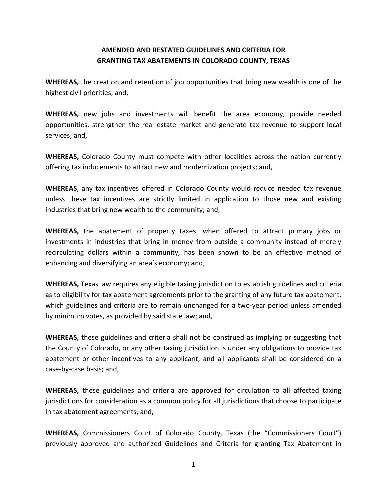## **AMENDED AND RESTATED GUIDELINES AND CRITERIA FOR GRANTING TAX ABATEMENTS IN COLORADO COUNTY, TEXAS**

**WHEREAS,** the creation and retention of job opportunities that bring new wealth is one of the highest civil priorities; and,

**WHEREAS,** new jobs and investments will benefit the area economy, provide needed opportunities, strengthen the real estate market and generate tax revenue to support local services; and,

**WHEREAS,** Colorado County must compete with other localities across the nation currently offering tax inducements to attract new and modernization projects; and,

**WHEREAS**, any tax incentives offered in Colorado County would reduce needed tax revenue unless these tax incentives are strictly limited in application to those new and existing industries that bring new wealth to the community; and,

**WHEREAS,** the abatement of property taxes, when offered to attract primary jobs or investments in industries that bring in money from outside a community instead of merely recirculating dollars within a community, has been shown to be an effective method of enhancing and diversifying an area's economy; and,

**WHEREAS,** Texas law requires any eligible taxing jurisdiction to establish guidelines and criteria as to eligibility for tax abatement agreements prior to the granting of any future tax abatement, which guidelines and criteria are to remain unchanged for a two-year period unless amended by minimum votes, as provided by said state law; and,

**WHEREAS,** these guidelines and criteria shall not be construed as implying or suggesting that the County of Colorado, or any other taxing jurisdiction is under any obligations to provide tax abatement or other incentives to any applicant, and all applicants shall be considered on a case-by-case basis; and,

**WHEREAS,** these guidelines and criteria are approved for circulation to all affected taxing jurisdictions for consideration as a common policy for all jurisdictions that choose to participate in tax abatement agreements; and,

**WHEREAS,** Commissioners Court of Colorado County, Texas (the "Commissioners Court") previously approved and authorized Guidelines and Criteria for granting Tax Abatement in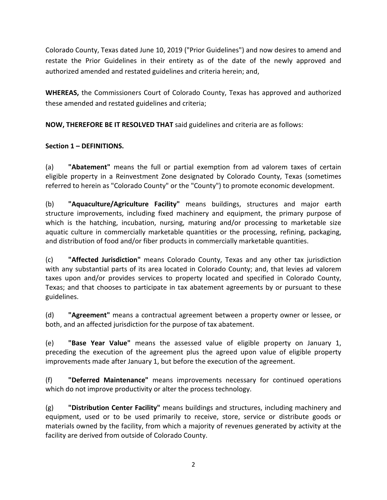Colorado County, Texas dated June 10, 2019 ("Prior Guidelines") and now desires to amend and restate the Prior Guidelines in their entirety as of the date of the newly approved and authorized amended and restated guidelines and criteria herein; and,

**WHEREAS,** the Commissioners Court of Colorado County, Texas has approved and authorized these amended and restated guidelines and criteria;

**NOW, THEREFORE BE IT RESOLVED THAT** said guidelines and criteria are as follows:

# **Section 1 – DEFINITIONS.**

(a) **"Abatement"** means the full or partial exemption from ad valorem taxes of certain eligible property in a Reinvestment Zone designated by Colorado County, Texas (sometimes referred to herein as "Colorado County" or the "County") to promote economic development.

(b) **"Aquaculture/Agriculture Facility"** means buildings, structures and major earth structure improvements, including fixed machinery and equipment, the primary purpose of which is the hatching, incubation, nursing, maturing and/or processing to marketable size aquatic culture in commercially marketable quantities or the processing, refining, packaging, and distribution of food and/or fiber products in commercially marketable quantities.

(c) **"Affected Jurisdiction"** means Colorado County, Texas and any other tax jurisdiction with any substantial parts of its area located in Colorado County; and, that levies ad valorem taxes upon and/or provides services to property located and specified in Colorado County, Texas; and that chooses to participate in tax abatement agreements by or pursuant to these guidelines.

(d) **"Agreement"** means a contractual agreement between a property owner or lessee, or both, and an affected jurisdiction for the purpose of tax abatement.

(e) **"Base Year Value"** means the assessed value of eligible property on January 1, preceding the execution of the agreement plus the agreed upon value of eligible property improvements made after January 1, but before the execution of the agreement.

(f) **"Deferred Maintenance"** means improvements necessary for continued operations which do not improve productivity or alter the process technology.

(g) **"Distribution Center Facility"** means buildings and structures, including machinery and equipment, used or to be used primarily to receive, store, service or distribute goods or materials owned by the facility, from which a majority of revenues generated by activity at the facility are derived from outside of Colorado County.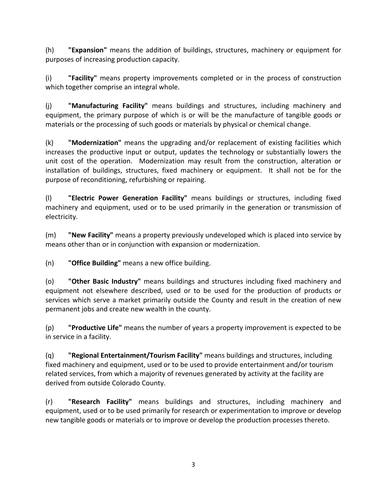(h) **"Expansion"** means the addition of buildings, structures, machinery or equipment for purposes of increasing production capacity.

(i) **"Facility"** means property improvements completed or in the process of construction which together comprise an integral whole.

(j) **"Manufacturing Facility"** means buildings and structures, including machinery and equipment, the primary purpose of which is or will be the manufacture of tangible goods or materials or the processing of such goods or materials by physical or chemical change.

(k) **"Modernization"** means the upgrading and/or replacement of existing facilities which increases the productive input or output, updates the technology or substantially lowers the unit cost of the operation. Modernization may result from the construction, alteration or installation of buildings, structures, fixed machinery or equipment. It shall not be for the purpose of reconditioning, refurbishing or repairing.

(l) **"Electric Power Generation Facility"** means buildings or structures, including fixed machinery and equipment, used or to be used primarily in the generation or transmission of electricity.

(m) **"New Facility"** means a property previously undeveloped which is placed into service by means other than or in conjunction with expansion or modernization.

(n) **"Office Building"** means a new office building.

(o) **"Other Basic Industry"** means buildings and structures including fixed machinery and equipment not elsewhere described, used or to be used for the production of products or services which serve a market primarily outside the County and result in the creation of new permanent jobs and create new wealth in the county.

(p) **"Productive Life"** means the number of years a property improvement is expected to be in service in a facility.

(q) **"Regional Entertainment/Tourism Facility"** means buildings and structures, including fixed machinery and equipment, used or to be used to provide entertainment and/or tourism related services, from which a majority of revenues generated by activity at the facility are derived from outside Colorado County.

(r) **"Research Facility"** means buildings and structures, including machinery and equipment, used or to be used primarily for research or experimentation to improve or develop new tangible goods or materials or to improve or develop the production processes thereto.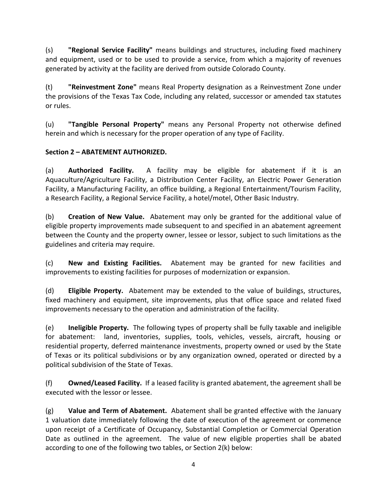(s) **"Regional Service Facility"** means buildings and structures, including fixed machinery and equipment, used or to be used to provide a service, from which a majority of revenues generated by activity at the facility are derived from outside Colorado County.

(t) **"Reinvestment Zone"** means Real Property designation as a Reinvestment Zone under the provisions of the Texas Tax Code, including any related, successor or amended tax statutes or rules.

(u) **"Tangible Personal Property"** means any Personal Property not otherwise defined herein and which is necessary for the proper operation of any type of Facility.

## **Section 2 – ABATEMENT AUTHORIZED.**

(a) **Authorized Facility.** A facility may be eligible for abatement if it is an Aquaculture/Agriculture Facility, a Distribution Center Facility, an Electric Power Generation Facility, a Manufacturing Facility, an office building, a Regional Entertainment/Tourism Facility, a Research Facility, a Regional Service Facility, a hotel/motel, Other Basic Industry.

(b) **Creation of New Value.** Abatement may only be granted for the additional value of eligible property improvements made subsequent to and specified in an abatement agreement between the County and the property owner, lessee or lessor, subject to such limitations as the guidelines and criteria may require.

(c) **New and Existing Facilities.** Abatement may be granted for new facilities and improvements to existing facilities for purposes of modernization or expansion.

(d) **Eligible Property.** Abatement may be extended to the value of buildings, structures, fixed machinery and equipment, site improvements, plus that office space and related fixed improvements necessary to the operation and administration of the facility.

(e) **Ineligible Property.** The following types of property shall be fully taxable and ineligible for abatement: land, inventories, supplies, tools, vehicles, vessels, aircraft, housing or residential property, deferred maintenance investments, property owned or used by the State of Texas or its political subdivisions or by any organization owned, operated or directed by a political subdivision of the State of Texas.

(f) **Owned/Leased Facility.** If a leased facility is granted abatement, the agreement shall be executed with the lessor or lessee.

(g) **Value and Term of Abatement.** Abatement shall be granted effective with the January 1 valuation date immediately following the date of execution of the agreement or commence upon receipt of a Certificate of Occupancy, Substantial Completion or Commercial Operation Date as outlined in the agreement. The value of new eligible properties shall be abated according to one of the following two tables, or Section 2(k) below: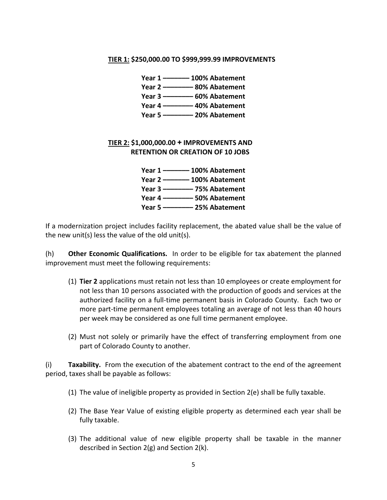#### **TIER 1: \$250,000.00 TO \$999,999.99 IMPROVEMENTS**

| Year 1 -------- 100% Abatement           |
|------------------------------------------|
| Year 2 --------------- 80% Abatement     |
| Year 3 ----------------- 60% Abatement   |
| Year 4 ------------ 40% Abatement        |
| Year 5 ------------------- 20% Abatement |

### **TIER 2: \$1,000,000.00 + IMPROVEMENTS AND RETENTION OR CREATION OF 10 JOBS**

**Year 1 ––––––– 100% Abatement Year 2 ––––––– 100% Abatement Year 3 –––––––– 75% Abatement Year 4 –––––––– 50% Abatement Year 5 –––––––– 25% Abatement**

If a modernization project includes facility replacement, the abated value shall be the value of the new unit(s) less the value of the old unit(s).

(h) **Other Economic Qualifications.** In order to be eligible for tax abatement the planned improvement must meet the following requirements:

- (1) **Tier 2** applications must retain not less than 10 employees or create employment for not less than 10 persons associated with the production of goods and services at the authorized facility on a full-time permanent basis in Colorado County. Each two or more part-time permanent employees totaling an average of not less than 40 hours per week may be considered as one full time permanent employee.
- (2) Must not solely or primarily have the effect of transferring employment from one part of Colorado County to another.

(i) **Taxability.** From the execution of the abatement contract to the end of the agreement period, taxes shall be payable as follows:

- (1) The value of ineligible property as provided in Section 2(e) shall be fully taxable.
- (2) The Base Year Value of existing eligible property as determined each year shall be fully taxable.
- (3) The additional value of new eligible property shall be taxable in the manner described in Section 2(g) and Section 2(k).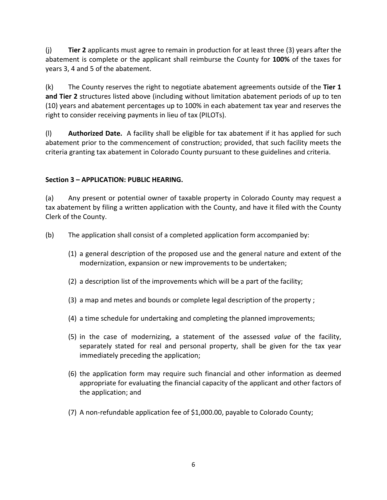(j) **Tier 2** applicants must agree to remain in production for at least three (3) years after the abatement is complete or the applicant shall reimburse the County for **100%** of the taxes for years 3, 4 and 5 of the abatement.

(k) The County reserves the right to negotiate abatement agreements outside of the **Tier 1 and Tier 2** structures listed above (including without limitation abatement periods of up to ten (10) years and abatement percentages up to 100% in each abatement tax year and reserves the right to consider receiving payments in lieu of tax (PILOTs).

(l) **Authorized Date.** A facility shall be eligible for tax abatement if it has applied for such abatement prior to the commencement of construction; provided, that such facility meets the criteria granting tax abatement in Colorado County pursuant to these guidelines and criteria.

## **Section 3 – APPLICATION: PUBLIC HEARING.**

(a) Any present or potential owner of taxable property in Colorado County may request a tax abatement by filing a written application with the County, and have it filed with the County Clerk of the County.

- (b) The application shall consist of a completed application form accompanied by:
	- (1) a general description of the proposed use and the general nature and extent of the modernization, expansion or new improvements to be undertaken;
	- (2) a description list of the improvements which will be a part of the facility;
	- (3) a map and metes and bounds or complete legal description of the property ;
	- (4) a time schedule for undertaking and completing the planned improvements;
	- (5) in the case of modernizing, a statement of the assessed *value* of the facility, separately stated for real and personal property, shall be given for the tax year immediately preceding the application;
	- (6) the application form may require such financial and other information as deemed appropriate for evaluating the financial capacity of the applicant and other factors of the application; and
	- (7) A non-refundable application fee of \$1,000.00, payable to Colorado County;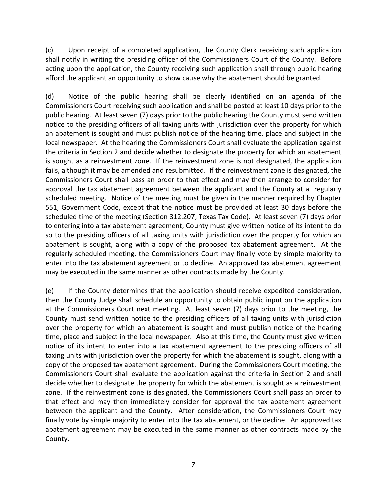(c) Upon receipt of a completed application, the County Clerk receiving such application shall notify in writing the presiding officer of the Commissioners Court of the County. Before acting upon the application, the County receiving such application shall through public hearing afford the applicant an opportunity to show cause why the abatement should be granted.

(d) Notice of the public hearing shall be clearly identified on an agenda of the Commissioners Court receiving such application and shall be posted at least 10 days prior to the public hearing. At least seven (7) days prior to the public hearing the County must send written notice to the presiding officers of all taxing units with jurisdiction over the property for which an abatement is sought and must publish notice of the hearing time, place and subject in the local newspaper. At the hearing the Commissioners Court shall evaluate the application against the criteria in Section 2 and decide whether to designate the property for which an abatement is sought as a reinvestment zone. If the reinvestment zone is not designated, the application fails, although it may be amended and resubmitted. If the reinvestment zone is designated, the Commissioners Court shall pass an order to that effect and may then arrange to consider for approval the tax abatement agreement between the applicant and the County at a regularly scheduled meeting. Notice of the meeting must be given in the manner required by Chapter 551, Government Code, except that the notice must be provided at least 30 days before the scheduled time of the meeting (Section 312.207, Texas Tax Code). At least seven (7) days prior to entering into a tax abatement agreement, County must give written notice of its intent to do so to the presiding officers of all taxing units with jurisdiction over the property for which an abatement is sought, along with a copy of the proposed tax abatement agreement. At the regularly scheduled meeting, the Commissioners Court may finally vote by simple majority to enter into the tax abatement agreement or to decline. An approved tax abatement agreement may be executed in the same manner as other contracts made by the County.

(e) If the County determines that the application should receive expedited consideration, then the County Judge shall schedule an opportunity to obtain public input on the application at the Commissioners Court next meeting. At least seven (7) days prior to the meeting, the County must send written notice to the presiding officers of all taxing units with jurisdiction over the property for which an abatement is sought and must publish notice of the hearing time, place and subject in the local newspaper. Also at this time, the County must give written notice of its intent to enter into a tax abatement agreement to the presiding officers of all taxing units with jurisdiction over the property for which the abatement is sought, along with a copy of the proposed tax abatement agreement. During the Commissioners Court meeting, the Commissioners Court shall evaluate the application against the criteria in Section 2 and shall decide whether to designate the property for which the abatement is sought as a reinvestment zone. If the reinvestment zone is designated, the Commissioners Court shall pass an order to that effect and may then immediately consider for approval the tax abatement agreement between the applicant and the County. After consideration, the Commissioners Court may finally vote by simple majority to enter into the tax abatement, or the decline. An approved tax abatement agreement may be executed in the same manner as other contracts made by the County.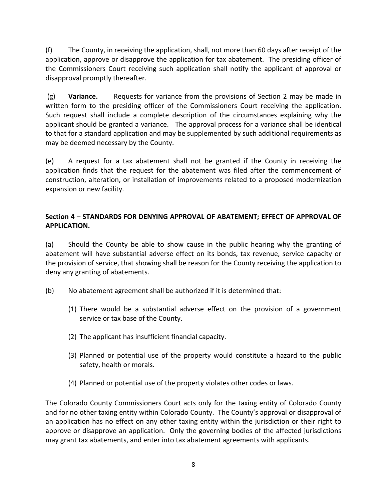(f) The County, in receiving the application, shall, not more than 60 days after receipt of the application, approve or disapprove the application for tax abatement. The presiding officer of the Commissioners Court receiving such application shall notify the applicant of approval or disapproval promptly thereafter.

(g) **Variance.** Requests for variance from the provisions of Section 2 may be made in written form to the presiding officer of the Commissioners Court receiving the application. Such request shall include a complete description of the circumstances explaining why the applicant should be granted a variance. The approval process for a variance shall be identical to that for a standard application and may be supplemented by such additional requirements as may be deemed necessary by the County.

(e) A request for a tax abatement shall not be granted if the County in receiving the application finds that the request for the abatement was filed after the commencement of construction, alteration, or installation of improvements related to a proposed modernization expansion or new facility.

### **Section 4 – STANDARDS FOR DENYING APPROVAL OF ABATEMENT; EFFECT OF APPROVAL OF APPLICATION.**

(a) Should the County be able to show cause in the public hearing why the granting of abatement will have substantial adverse effect on its bonds, tax revenue, service capacity or the provision of service, that showing shall be reason for the County receiving the application to deny any granting of abatements.

- (b) No abatement agreement shall be authorized if it is determined that:
	- (1) There would be a substantial adverse effect on the provision of a government service or tax base of the County.
	- (2) The applicant has insufficient financial capacity.
	- (3) Planned or potential use of the property would constitute a hazard to the public safety, health or morals.
	- (4) Planned or potential use of the property violates other codes or laws.

The Colorado County Commissioners Court acts only for the taxing entity of Colorado County and for no other taxing entity within Colorado County. The County's approval or disapproval of an application has no effect on any other taxing entity within the jurisdiction or their right to approve or disapprove an application. Only the governing bodies of the affected jurisdictions may grant tax abatements, and enter into tax abatement agreements with applicants.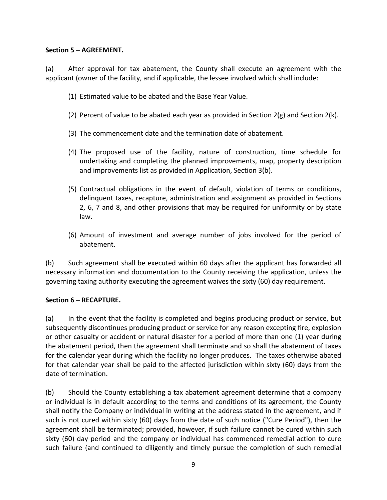### **Section 5 – AGREEMENT.**

(a) After approval for tax abatement, the County shall execute an agreement with the applicant (owner of the facility, and if applicable, the lessee involved which shall include:

- (1) Estimated value to be abated and the Base Year Value.
- (2) Percent of value to be abated each year as provided in Section  $2(g)$  and Section  $2(k)$ .
- (3) The commencement date and the termination date of abatement.
- (4) The proposed use of the facility, nature of construction, time schedule for undertaking and completing the planned improvements, map, property description and improvements list as provided in Application, Section 3(b).
- (5) Contractual obligations in the event of default, violation of terms or conditions, delinquent taxes, recapture, administration and assignment as provided in Sections 2, 6, 7 and 8, and other provisions that may be required for uniformity or by state law.
- (6) Amount of investment and average number of jobs involved for the period of abatement.

(b) Such agreement shall be executed within 60 days after the applicant has forwarded all necessary information and documentation to the County receiving the application, unless the governing taxing authority executing the agreement waives the sixty (60) day requirement.

#### **Section 6 – RECAPTURE.**

(a) In the event that the facility is completed and begins producing product or service, but subsequently discontinues producing product or service for any reason excepting fire, explosion or other casualty or accident or natural disaster for a period of more than one (1) year during the abatement period, then the agreement shall terminate and so shall the abatement of taxes for the calendar year during which the facility no longer produces. The taxes otherwise abated for that calendar year shall be paid to the affected jurisdiction within sixty (60) days from the date of termination.

(b) Should the County establishing a tax abatement agreement determine that a company or individual is in default according to the terms and conditions of its agreement, the County shall notify the Company or individual in writing at the address stated in the agreement, and if such is not cured within sixty (60) days from the date of such notice ("Cure Period"), then the agreement shall be terminated; provided, however, if such failure cannot be cured within such sixty (60) day period and the company or individual has commenced remedial action to cure such failure (and continued to diligently and timely pursue the completion of such remedial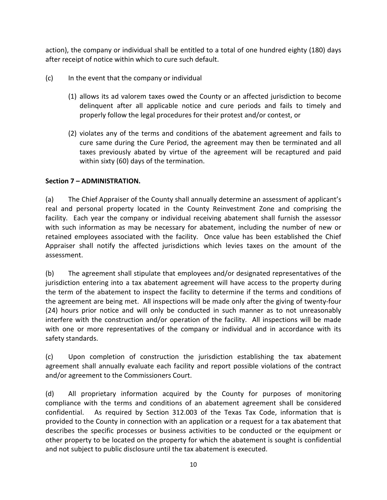action), the company or individual shall be entitled to a total of one hundred eighty (180) days after receipt of notice within which to cure such default.

- (c) In the event that the company or individual
	- (1) allows its ad valorem taxes owed the County or an affected jurisdiction to become delinquent after all applicable notice and cure periods and fails to timely and properly follow the legal procedures for their protest and/or contest, or
	- (2) violates any of the terms and conditions of the abatement agreement and fails to cure same during the Cure Period, the agreement may then be terminated and all taxes previously abated by virtue of the agreement will be recaptured and paid within sixty (60) days of the termination.

### **Section 7 – ADMINISTRATION.**

(a) The Chief Appraiser of the County shall annually determine an assessment of applicant's real and personal property located in the County Reinvestment Zone and comprising the facility. Each year the company or individual receiving abatement shall furnish the assessor with such information as may be necessary for abatement, including the number of new or retained employees associated with the facility. Once value has been established the Chief Appraiser shall notify the affected jurisdictions which levies taxes on the amount of the assessment.

(b) The agreement shall stipulate that employees and/or designated representatives of the jurisdiction entering into a tax abatement agreement will have access to the property during the term of the abatement to inspect the facility to determine if the terms and conditions of the agreement are being met. All inspections will be made only after the giving of twenty-four (24) hours prior notice and will only be conducted in such manner as to not unreasonably interfere with the construction and/or operation of the facility. All inspections will be made with one or more representatives of the company or individual and in accordance with its safety standards.

(c) Upon completion of construction the jurisdiction establishing the tax abatement agreement shall annually evaluate each facility and report possible violations of the contract and/or agreement to the Commissioners Court.

(d) All proprietary information acquired by the County for purposes of monitoring compliance with the terms and conditions of an abatement agreement shall be considered confidential. As required by Section 312.003 of the Texas Tax Code, information that is provided to the County in connection with an application or a request for a tax abatement that describes the specific processes or business activities to be conducted or the equipment or other property to be located on the property for which the abatement is sought is confidential and not subject to public disclosure until the tax abatement is executed.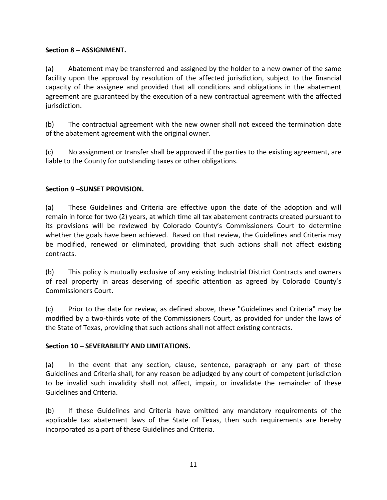### **Section 8 – ASSIGNMENT.**

(a) Abatement may be transferred and assigned by the holder to a new owner of the same facility upon the approval by resolution of the affected jurisdiction, subject to the financial capacity of the assignee and provided that all conditions and obligations in the abatement agreement are guaranteed by the execution of a new contractual agreement with the affected jurisdiction.

(b) The contractual agreement with the new owner shall not exceed the termination date of the abatement agreement with the original owner.

(c) No assignment or transfer shall be approved if the parties to the existing agreement, are liable to the County for outstanding taxes or other obligations.

#### **Section 9 –SUNSET PROVISION.**

(a) These Guidelines and Criteria are effective upon the date of the adoption and will remain in force for two (2) years, at which time all tax abatement contracts created pursuant to its provisions will be reviewed by Colorado County's Commissioners Court to determine whether the goals have been achieved. Based on that review, the Guidelines and Criteria may be modified, renewed or eliminated, providing that such actions shall not affect existing contracts.

(b) This policy is mutually exclusive of any existing Industrial District Contracts and owners of real property in areas deserving of specific attention as agreed by Colorado County's Commissioners Court.

(c) Prior to the date for review, as defined above, these "Guidelines and Criteria" may be modified by a two-thirds vote of the Commissioners Court, as provided for under the laws of the State of Texas, providing that such actions shall not affect existing contracts.

#### **Section 10 – SEVERABILITY AND LIMITATIONS.**

(a) In the event that any section, clause, sentence, paragraph or any part of these Guidelines and Criteria shall, for any reason be adjudged by any court of competent jurisdiction to be invalid such invalidity shall not affect, impair, or invalidate the remainder of these Guidelines and Criteria.

(b) If these Guidelines and Criteria have omitted any mandatory requirements of the applicable tax abatement laws of the State of Texas, then such requirements are hereby incorporated as a part of these Guidelines and Criteria.